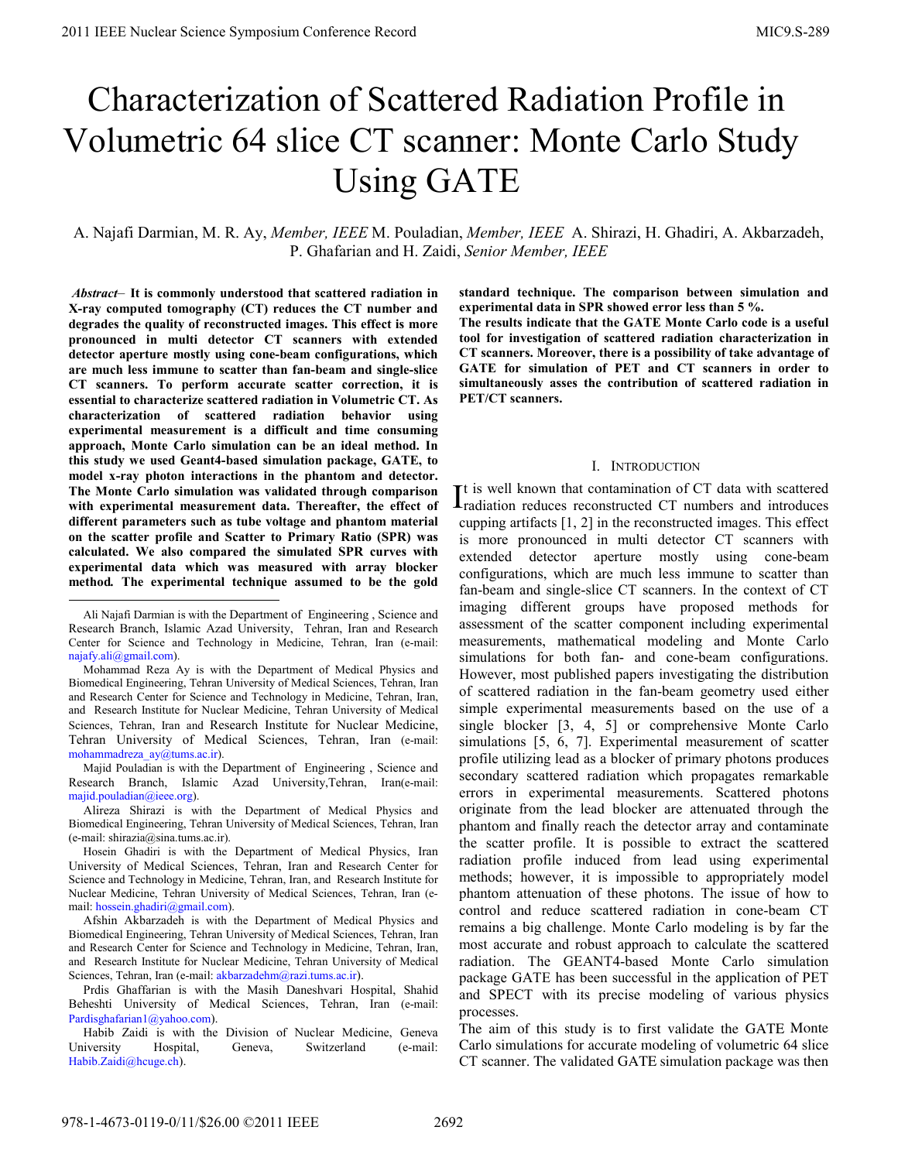# Characterization of Scattered Radiation Profile in Volumetric 64 slice CT scanner: Monte Carlo Study Using GATE

A. Najafi Darmian, M. R. Ay, *Member, IEEE* M. Pouladian, *Member, IEEE* A. Shirazi, H. Ghadiri, A. Akbarzadeh, P. Ghafarian and H. Zaidi, *Senior Member, IEEE*

 *Abstract–* **It is commonly understood that scattered radiation in X-ray computed tomography (CT) reduces the CT number and degrades the quality of reconstructed images. This effect is more pronounced in multi detector CT scanners with extended detector aperture mostly using cone-beam configurations, which are much less immune to scatter than fan-beam and single-slice CT scanners. To perform accurate scatter correction, it is essential to characterize scattered radiation in Volumetric CT. As characterization of scattered radiation behavior using experimental measurement is a difficult and time consuming approach, Monte Carlo simulation can be an ideal method. In this study we used Geant4-based simulation package, GATE, to model x-ray photon interactions in the phantom and detector. The Monte Carlo simulation was validated through comparison with experimental measurement data. Thereafter, the effect of different parameters such as tube voltage and phantom material on the scatter profile and Scatter to Primary Ratio (SPR) was calculated. We also compared the simulated SPR curves with experimental data which was measured with array blocker method***.* **The experimental technique assumed to be the gold** 

1

Mohammad Reza Ay is with the Department of Medical Physics and Biomedical Engineering, Tehran University of Medical Sciences, Tehran, Iran and Research Center for Science and Technology in Medicine, Tehran, Iran, and Research Institute for Nuclear Medicine, Tehran University of Medical Sciences, Tehran, Iran and Research Institute for Nuclear Medicine, Tehran University of Medical Sciences, Tehran, Iran (e-mail: mohammadreza\_ay@tums.ac.ir).

Majid Pouladian is with the Department of Engineering , Science and Research Branch, Islamic Azad University,Tehran, Iran(e-mail: majid.pouladian@ieee.org).

Alireza Shirazi is with the Department of Medical Physics and Biomedical Engineering, Tehran University of Medical Sciences, Tehran, Iran (e-mail: shirazia@sina.tums.ac.ir).

Hosein Ghadiri is with the Department of Medical Physics, Iran University of Medical Sciences, Tehran, Iran and Research Center for Science and Technology in Medicine, Tehran, Iran, and Research Institute for Nuclear Medicine, Tehran University of Medical Sciences, Tehran, Iran (email: hossein.ghadiri@gmail.com).

Afshin Akbarzadeh is with the Department of Medical Physics and Biomedical Engineering, Tehran University of Medical Sciences, Tehran, Iran and Research Center for Science and Technology in Medicine, Tehran, Iran, and Research Institute for Nuclear Medicine, Tehran University of Medical Sciences, Tehran, Iran (e-mail: akbarzadehm@razi.tums.ac.ir).

Prdis Ghaffarian is with the Masih Daneshvari Hospital, Shahid Beheshti University of Medical Sciences, Tehran, Iran (e-mail: Pardisghafarian1@yahoo.com).

Habib Zaidi is with the Division of Nuclear Medicine, Geneva University Hospital, Geneva, Switzerland (e-mail: Habib.Zaidi@hcuge.ch).

**standard technique. The comparison between simulation and experimental data in SPR showed error less than 5 %. The results indicate that the GATE Monte Carlo code is a useful tool for investigation of scattered radiation characterization in CT scanners. Moreover, there is a possibility of take advantage of GATE for simulation of PET and CT scanners in order to simultaneously asses the contribution of scattered radiation in PET/CT scanners.**

## I. INTRODUCTION

t is well known that contamination of CT data with scattered  $\Gamma$  is well known that contamination of CT data with scattered  $\Gamma$  radiation reduces reconstructed CT numbers and introduces cupping artifacts [1, 2] in the reconstructed images. This effect is more pronounced in multi detector CT scanners with extended detector aperture mostly using cone-beam configurations, which are much less immune to scatter than fan-beam and single-slice CT scanners. In the context of CT imaging different groups have proposed methods for assessment of the scatter component including experimental measurements, mathematical modeling and Monte Carlo simulations for both fan- and cone-beam configurations. However, most published papers investigating the distribution of scattered radiation in the fan-beam geometry used either simple experimental measurements based on the use of a single blocker [3, 4, 5] or comprehensive Monte Carlo simulations [5, 6, 7]. Experimental measurement of scatter profile utilizing lead as a blocker of primary photons produces secondary scattered radiation which propagates remarkable errors in experimental measurements. Scattered photons originate from the lead blocker are attenuated through the phantom and finally reach the detector array and contaminate the scatter profile. It is possible to extract the scattered radiation profile induced from lead using experimental methods; however, it is impossible to appropriately model phantom attenuation of these photons. The issue of how to control and reduce scattered radiation in cone-beam CT remains a big challenge. Monte Carlo modeling is by far the most accurate and robust approach to calculate the scattered radiation. The GEANT4-based Monte Carlo simulation package GATE has been successful in the application of PET and SPECT with its precise modeling of various physics processes.

The aim of this study is to first validate the GATE Monte Carlo simulations for accurate modeling of volumetric 64 slice CT scanner. The validated GATE simulation package was then

Ali Najafi Darmian is with the Department of Engineering , Science and Research Branch, Islamic Azad University, Tehran, Iran and Research Center for Science and Technology in Medicine, Tehran, Iran (e-mail: najafy.ali@gmail.com).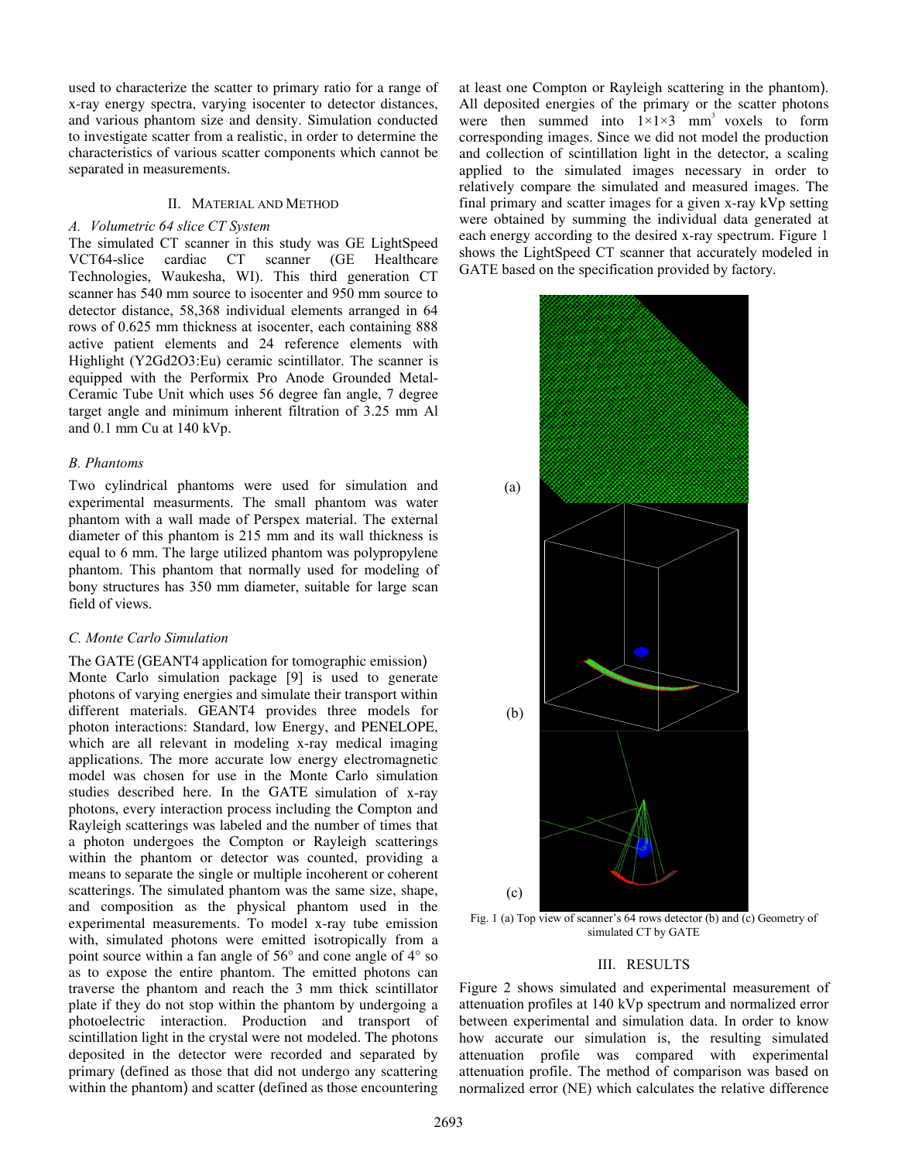used to characterize the scatter to primary ratio for a range of x-ray energy spectra, varying isocenter to detector distances, and various phantom size and density. Simulation conducted to investigate scatter from a realistic, in order to determine the characteristics of various scatter components which cannot be separated in measurements.

## II. MATERIAL AND METHOD

## *A. Volumetric 64 slice CT System*

The simulated CT scanner in this study was GE LightSpeed VCT64-slice cardiac CT scanner (GE Healthcare Technologies, Waukesha, WI). This third generation CT scanner has 540 mm source to isocenter and 950 mm source to detector distance, 58,368 individual elements arranged in 64 rows of 0.625 mm thickness at isocenter, each containing 888 active patient elements and 24 reference elements with Highlight (Y2Gd2O3:Eu) ceramic scintillator. The scanner is equipped with the Performix Pro Anode Grounded Metal-Ceramic Tube Unit which uses 56 degree fan angle, 7 degree target angle and minimum inherent filtration of 3.25 mm Al and 0.1 mm Cu at 140 kVp.

# *B. Phantoms*

Two cylindrical phantoms were used for simulation and experimental measurments. The small phantom was water phantom with a wall made of Perspex material. The external diameter of this phantom is 215 mm and its wall thickness is equal to 6 mm. The large utilized phantom was polypropylene phantom. This phantom that normally used for modeling of bony structures has 350 mm diameter, suitable for large scan field of views.

## *C. Monte Carlo Simulation*

The GATE (GEANT4 application for tomographic emission) Monte Carlo simulation package [9] is used to generate photons of varying energies and simulate their transport within different materials. GEANT4 provides three models for photon interactions: Standard, low Energy, and PENELOPE, which are all relevant in modeling x-ray medical imaging applications. The more accurate low energy electromagnetic model was chosen for use in the Monte Carlo simulation studies described here. In the GATE simulation of x-ray photons, every interaction process including the Compton and Rayleigh scatterings was labeled and the number of times that a photon undergoes the Compton or Rayleigh scatterings within the phantom or detector was counted, providing a means to separate the single or multiple incoherent or coherent scatterings. The simulated phantom was the same size, shape, and composition as the physical phantom used in the experimental measurements. To model x-ray tube emission with, simulated photons were emitted isotropically from a point source within a fan angle of 56° and cone angle of 4° so as to expose the entire phantom. The emitted photons can traverse the phantom and reach the 3 mm thick scintillator plate if they do not stop within the phantom by undergoing a photoelectric interaction. Production and transport of scintillation light in the crystal were not modeled. The photons deposited in the detector were recorded and separated by primary (defined as those that did not undergo any scattering within the phantom) and scatter (defined as those encountering

at least one Compton or Rayleigh scattering in the phantom). All deposited energies of the primary or the scatter photons were then summed into  $1\times1\times3$  mm<sup>3</sup> voxels to form corresponding images. Since we did not model the production and collection of scintillation light in the detector, a scaling applied to the simulated images necessary in order to relatively compare the simulated and measured images. The final primary and scatter images for a given x-ray kVp setting were obtained by summing the individual data generated at each energy according to the desired x-ray spectrum. Figure 1 shows the LightSpeed CT scanner that accurately modeled in GATE based on the specification provided by factory.



Fig. 1 (a) Top view of scanner's 64 rows detector (b) and (c) Geometry of simulated CT by GATE

## III. RESULTS

Figure 2 shows simulated and experimental measurement of attenuation profiles at 140 kVp spectrum and normalized error between experimental and simulation data. In order to know how accurate our simulation is, the resulting simulated attenuation profile was compared with experimental attenuation profile. The method of comparison was based on normalized error (NE) which calculates the relative difference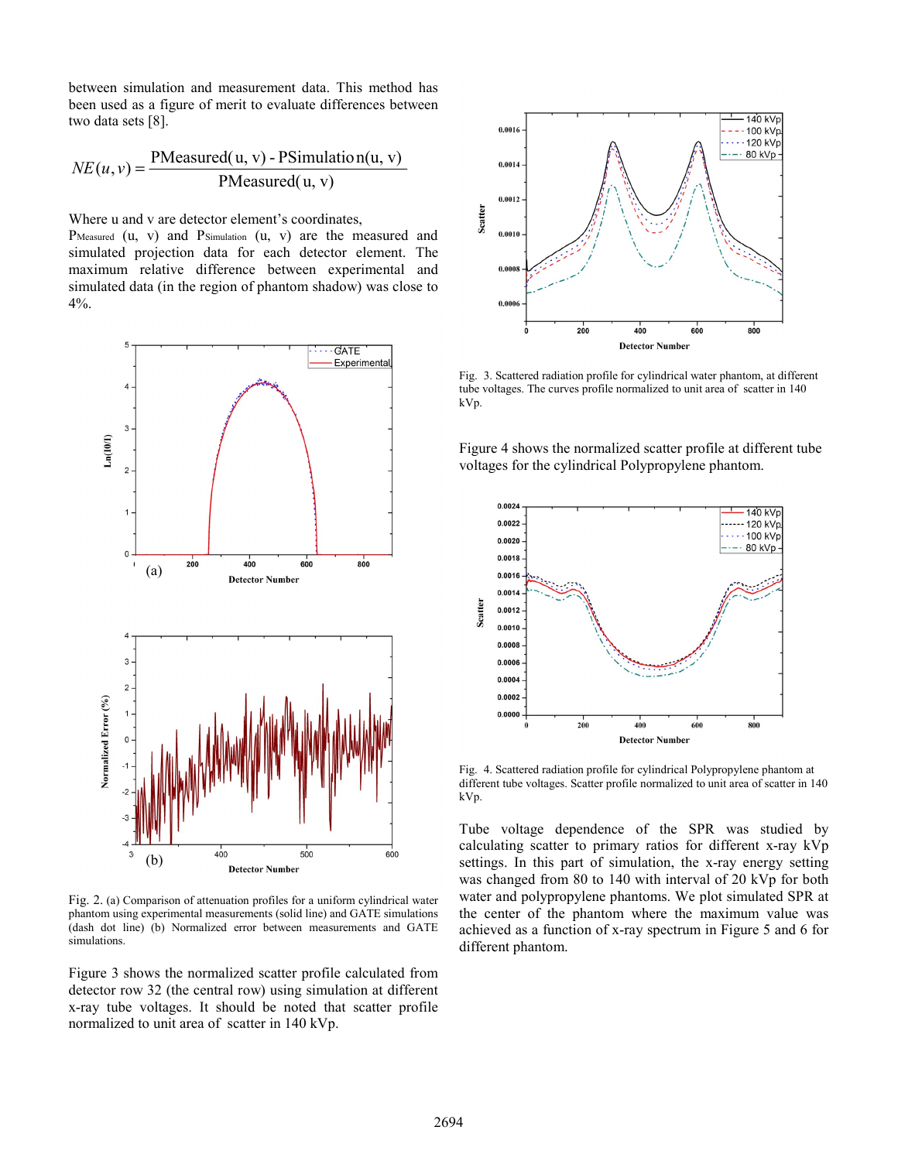between simulation and measurement data. This method has been used as a figure of merit to evaluate differences between two data sets [8].

$$
NE(u, v) = \frac{PMeasured(u, v) - PSimulation(u, v)}{PMeasured(u, v)}
$$

Where u and v are detector element's coordinates,

PMeasured (u, v) and PSimulation (u, v) are the measured and simulated projection data for each detector element. The maximum relative difference between experimental and simulated data (in the region of phantom shadow) was close to  $4\%$ .



Fig. 2. (a) Comparison of attenuation profiles for a uniform cylindrical water phantom using experimental measurements (solid line) and GATE simulations (dash dot line) (b) Normalized error between measurements and GATE simulations.

Figure 3 shows the normalized scatter profile calculated from detector row 32 (the central row) using simulation at different x-ray tube voltages. It should be noted that scatter profile normalized to unit area of scatter in 140 kVp.



Fig. 3. Scattered radiation profile for cylindrical water phantom, at different tube voltages. The curves profile normalized to unit area of scatter in 140 kVp.

Figure 4 shows the normalized scatter profile at different tube voltages for the cylindrical Polypropylene phantom.



Fig. 4. Scattered radiation profile for cylindrical Polypropylene phantom at different tube voltages. Scatter profile normalized to unit area of scatter in 140 kVp.

Tube voltage dependence of the SPR was studied by calculating scatter to primary ratios for different x-ray kVp settings. In this part of simulation, the x-ray energy setting was changed from 80 to 140 with interval of 20 kVp for both water and polypropylene phantoms. We plot simulated SPR at the center of the phantom where the maximum value was achieved as a function of x-ray spectrum in Figure 5 and 6 for different phantom.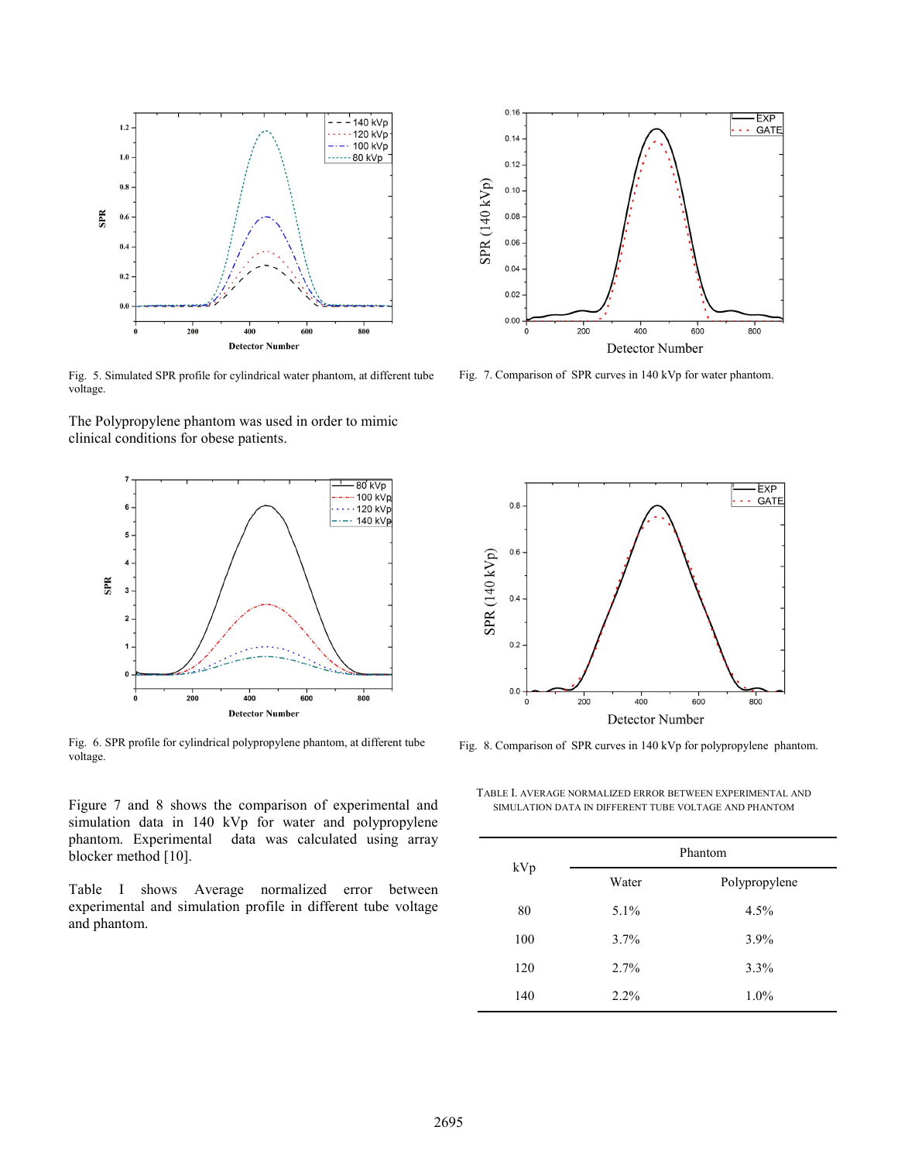

Fig. 5. Simulated SPR profile for cylindrical water phantom, at different tube voltage.

The Polypropylene phantom was used in order to mimic clinical conditions for obese patients.



Fig. 6. SPR profile for cylindrical polypropylene phantom, at different tube voltage.

Figure 7 and 8 shows the comparison of experimental and simulation data in 140 kVp for water and polypropylene phantom. Experimental data was calculated using array blocker method [10].

Table I shows Average normalized error between experimental and simulation profile in different tube voltage and phantom.



Fig. 7. Comparison of SPR curves in 140 kVp for water phantom.



Fig. 8. Comparison of SPR curves in 140 kVp for polypropylene phantom.

TABLE I. AVERAGE NORMALIZED ERROR BETWEEN EXPERIMENTAL AND SIMULATION DATA IN DIFFERENT TUBE VOLTAGE AND PHANTOM

| kVp | Phantom |               |
|-----|---------|---------------|
|     | Water   | Polypropylene |
| 80  | 5.1%    | 4.5%          |
| 100 | 3.7%    | 3.9%          |
| 120 | 2.7%    | 3.3%          |
| 140 | 2.2%    | $1.0\%$       |